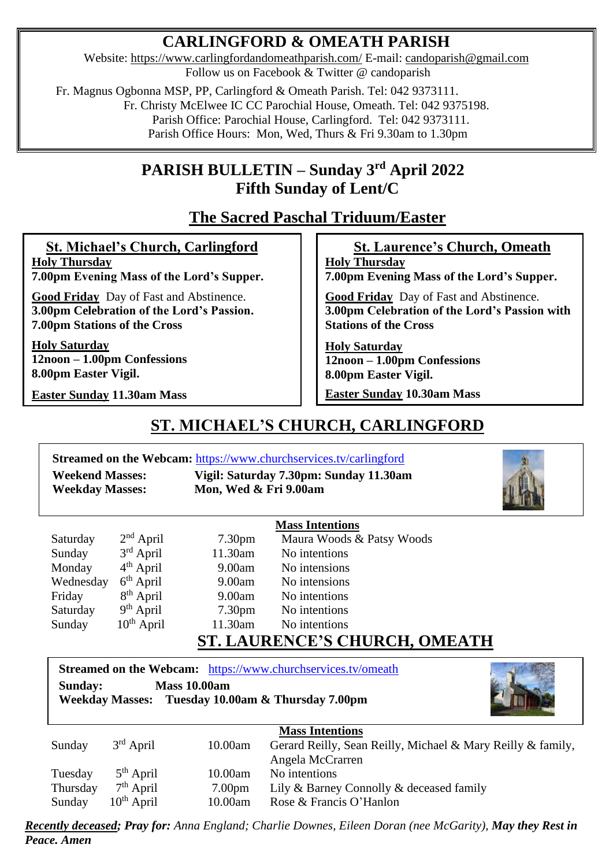## **CARLINGFORD & OMEATH PARISH**

Website:<https://www.carlingfordandomeathparish.com/> E-mail: [candoparish@gmail.com](mailto:candoparish@gmail.com) Follow us on Facebook & Twitter @ candoparish

Fr. Magnus Ogbonna MSP, PP, Carlingford & Omeath Parish. Tel: 042 9373111.

Fr. Christy McElwee IC CC Parochial House, Omeath. Tel: 042 9375198.

Parish Office: Parochial House, Carlingford. Tel: 042 9373111.

Parish Office Hours: Mon, Wed, Thurs & Fri 9.30am to 1.30pm

### **PARISH BULLETIN – Sunday 3 rd April 2022 Fifth Sunday of Lent/C**

# **The Sacred Paschal Triduum/Easter**

 **St. Michael's Church, Carlingford Holy Thursday**

**7.00pm Evening Mass of the Lord's Supper. Good Friday** Day of Fast and Abstinence.

**3.00pm Celebration of the Lord's Passion. 7.00pm Stations of the Cross**

**Holy Saturday 12noon – 1.00pm Confessions 8.00pm Easter Vigil.**

**Easter Sunday 11.30am Mass** 

### **St. Laurence's Church, Omeath**

**Holy Thursday 7.00pm Evening Mass of the Lord's Supper.**

 **Good Friday** Day of Fast and Abstinence. **3.00pm Celebration of the Lord's Passion with Stations of the Cross**

**Holy Saturday 12noon – 1.00pm Confessions 8.00pm Easter Vigil. Easter Sunday 10.30am Mass**

# **ST. MICHAEL'S CHURCH, CARLINGFORD**

**Streamed on the Webcam:** <https://www.churchservices.tv/carlingford>

**Weekend Masses: Vigil: Saturday 7.30pm: Sunday 11.30am Weekday Masses: Mon, Wed & Fri 9.00am**



|           |                 | <b>Mass Intentions</b>     |                           |
|-----------|-----------------|----------------------------|---------------------------|
| Saturday  | $2nd$ April     | 7.30 <sub>pm</sub>         | Maura Woods & Patsy Woods |
| Sunday    | $3rd$ April     | 11.30am                    | No intentions             |
| Monday    | $4th$ April     | 9.00am                     | No intensions             |
| Wednesday | $6th$ April     | 9.00am                     | No intensions             |
| Friday    | $8th$ April     | 9.00am                     | No intentions             |
| Saturday  | $9th$ April     | 7.30 <sub>pm</sub>         | No intentions             |
| Sunday    | $10^{th}$ April | 11.30am                    | No intentions             |
|           |                 | A TIDENIAE!A<br>$\alpha$ m |                           |

## **ST. LAURENCE'S CHURCH, OMEATH**

**Streamed on the Webcam:** <https://www.churchservices.tv/omeath> **Sunday: Mass 10.00am Weekday Masses: Tuesday 10.00am & Thursday 7.00pm**



|          |                 |                    | <b>Mass Intentions</b>                                      |
|----------|-----------------|--------------------|-------------------------------------------------------------|
| Sunday   | $3rd$ April     | 10.00am            | Gerard Reilly, Sean Reilly, Michael & Mary Reilly & family, |
|          |                 |                    | Angela McCrarren                                            |
| Tuesday  | $5th$ April     | 10.00am            | No intentions                                               |
| Thursday | $7th$ April     | 7.00 <sub>pm</sub> | Lily & Barney Connolly & deceased family                    |
| Sunday   | $10^{th}$ April | 10.00am            | Rose & Francis O'Hanlon                                     |

*Recently deceased; Pray for: Anna England; Charlie Downes, Eileen Doran (nee McGarity), May they Rest in Peace. Amen*